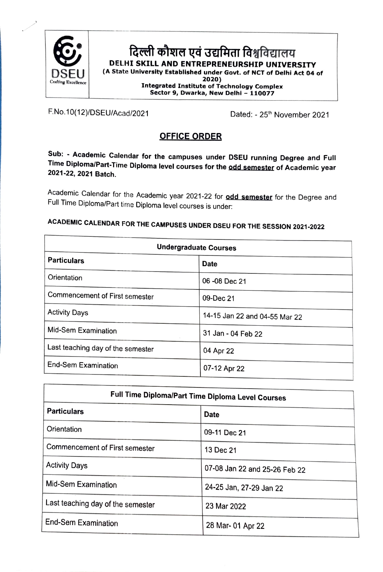

## दिल्ली कौशल एवं उद्यमिता विश्वविद्यालय DELHI SKILL AND ENTREPRENEURSHIP UNIVERSITY (A State University Established under Govt. of NCT of Delhi Act 04 of<br>2020) 2020) Integrated Institute of Technology Complex Sector 9, Dwarka, New Delhi - <sup>110077</sup>

F.No.10(12)/DSEU/Acad/2021 Dated: - 25<sup>th</sup> November 2021

### OFFICE ORDER

Sub: Academic Calendar for the campuses under DSEU running Degree and Full Time Diploma/Part-Time Diploma level courses for the odd semester of Academic year 2021-22, 2021 Batch.

Academic Calendar for the Academic year 2021-22 for **odd semester** for the Degree and Full Time Diploma/Part time Diploma level courses is under:

| <b>Undergraduate Courses</b>      |                               |
|-----------------------------------|-------------------------------|
| <b>Particulars</b>                | <b>Date</b>                   |
| Orientation                       | 06 - 08 Dec 21                |
| Commencement of First semester    | 09-Dec 21                     |
| <b>Activity Days</b>              | 14-15 Jan 22 and 04-55 Mar 22 |
| Mid-Sem Examination               | 31 Jan - 04 Feb 22            |
| Last teaching day of the semester | 04 Apr 22                     |
| <b>End-Sem Examination</b>        | 07-12 Apr 22                  |

# ACADEMC CALENDAR FOR THE CAMPUSES UNDER DSEU FOR THE SESsION 2021-2022

| Full Time Diploma/Part Time Diploma Level Courses |                               |
|---------------------------------------------------|-------------------------------|
| <b>Particulars</b>                                | <b>Date</b>                   |
| Orientation                                       | 09-11 Dec 21                  |
| <b>Commencement of First semester</b>             | 13 Dec 21                     |
| <b>Activity Days</b>                              | 07-08 Jan 22 and 25-26 Feb 22 |
| Mid-Sem Examination                               | 24-25 Jan, 27-29 Jan 22       |
| Last teaching day of the semester                 | 23 Mar 2022                   |
| End-Sem Examination                               | 28 Mar- 01 Apr 22             |